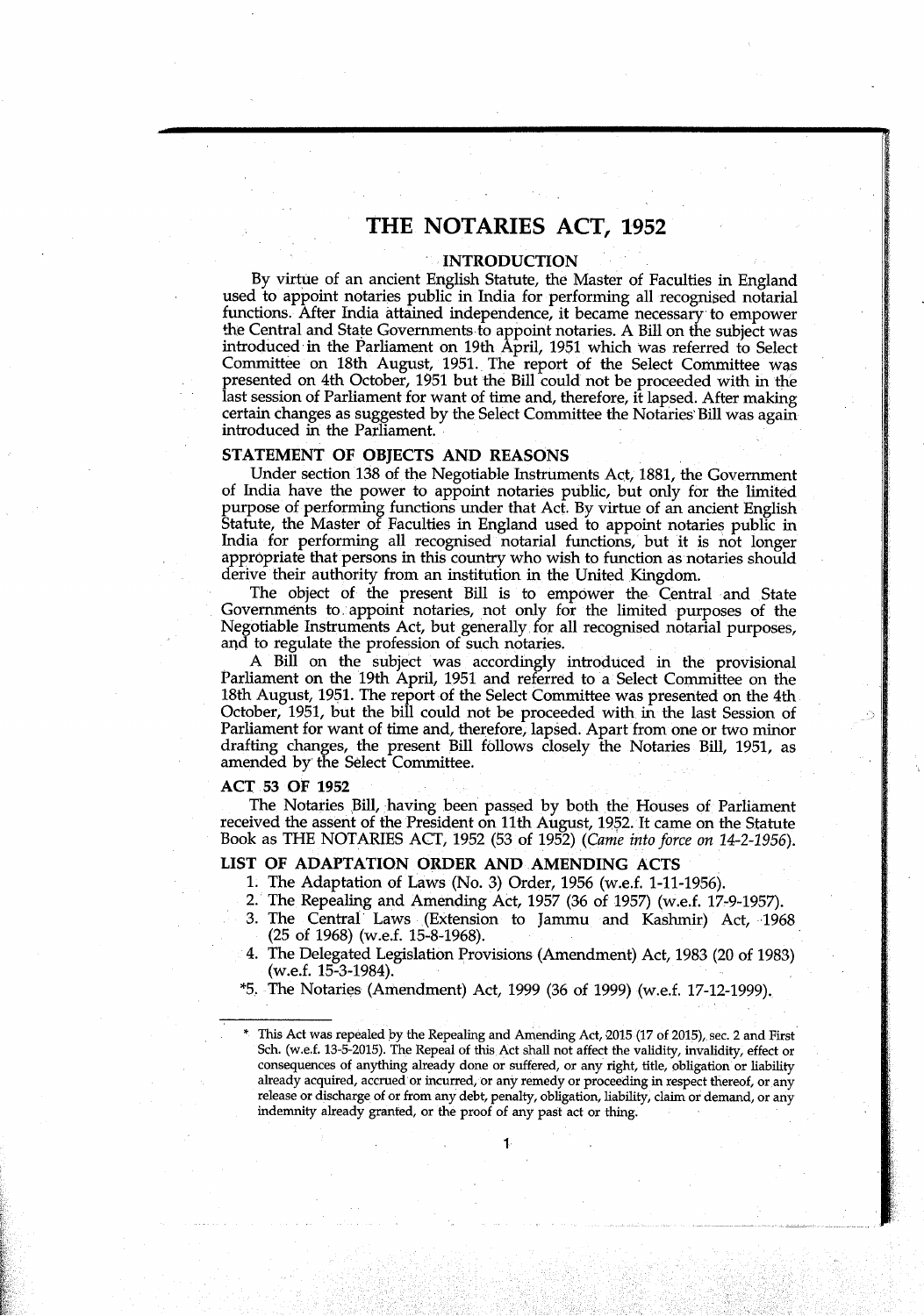## **THE NOTARIES ACT, 1952**

## **INTRODUCTION**

By virtue of an ancient English Statute, the Master of Faculties in England used to appoint notaries public in India for performing all recognised notarial functions. After India attained independence, it became necessary to empower the Central and State Governments to appoint notaries. A Bill on the subject was introduced in the Parliament on 19th April, 1951 which was referred to Select Committee on 18th August, 1951.. The report of the Select Committee was presented on 4th October, 1951 but the Bill could not be proceeded with in the last session of Parliament for want of time and, therefore, it lapsed. After making certain changes as suggested by the Select Committee the Notaries Bill was again introduced in the Parliament.

#### **STATEMENT OF OBJECTS AND REASONS**

Under section 138 of the Negotiable Instruments Act, 1881, the Government of India have the power to appoint notaries public, but only for the limited purpose of performing functions under that Act. By virtue of an ancient English Statute, the Master of Faculties in England used to appoint notaries public in India for performing all recognised notarial functions, but it is not longer appropriate that persons in this country who wish to function as notaries should derive their authority from an institution in the United Kingdom.

The object of the present Bill is to empower the Central and State Governments to appoint notaries, not only for the limited purposes of the Negotiable Instruments Act, but generally, for all recognised notarial purposes, and to regulate the profession of such notaries.

A Bill on the subject was accordingly introduced in the provisional Parliament on the 19th April, 1951 and referred to a Select Committee on the 18th August, 1951. The report of the Select Committee was presented on the 4th October, 1951, but the bill could not be proceeded with in the last Session of Parliament for want of time and, therefore, lapsed. Apart from one or two minor drafting changes, the present Bill f011ows closely the Notaries Bill, 1951, as amended by the Select Committee.

## ACT 53 OF 1952

The Notaries Bill, 'having been passed by both the Houses of Parliament received the assent of the President on 11th August, 1952. It came on the Statute Book as THE NOTARIES ACT, 1952 (53 of 1952) *(Came into force on 14-2-1956).* 

#### **LIST OF ADAPTATION ORDER AND AMENDING ACTS**

- 1 The Adaptation of Laws (No. 3) Order, 1956 (w.e.f. 1-11-1956).
- 2. The Repealing and Amending Act, 1957 (36 of 1957) (w.e.f. 17-9-1957).
- 3. The Central' Laws (Extension to Jammu and Kashmir) Act, 1968 (25 of 1968) (w.e.f. 15-8-1968).
- 4. The Delegated Legislation Provisions (Amendment) Act, 1983 (20 of 1983) (w.e.f. 15-3-1984).
- \*5. The Notaries (Amendment) Act, 1999 (36 of 1999) (w.e.f. 17-12-1999).

This Act was repealed by the Repealing and Amending Act, 2015 (17 of 2015), sec. 2 and First Sch. (w.e.f. 13-5-2015). The Repeal of this Act shall not affect the validity, invalidity, effect or consequences of anything already done or suffered, or any right, title, obligation or liability already acquired, accrued or incurred, or any remedy or proceeding in respect thereof, or any release or discharge of or from any debt, penalty, obligation, liability, claim or demand, or any indemnity already granted, or the proof of any past act or thing.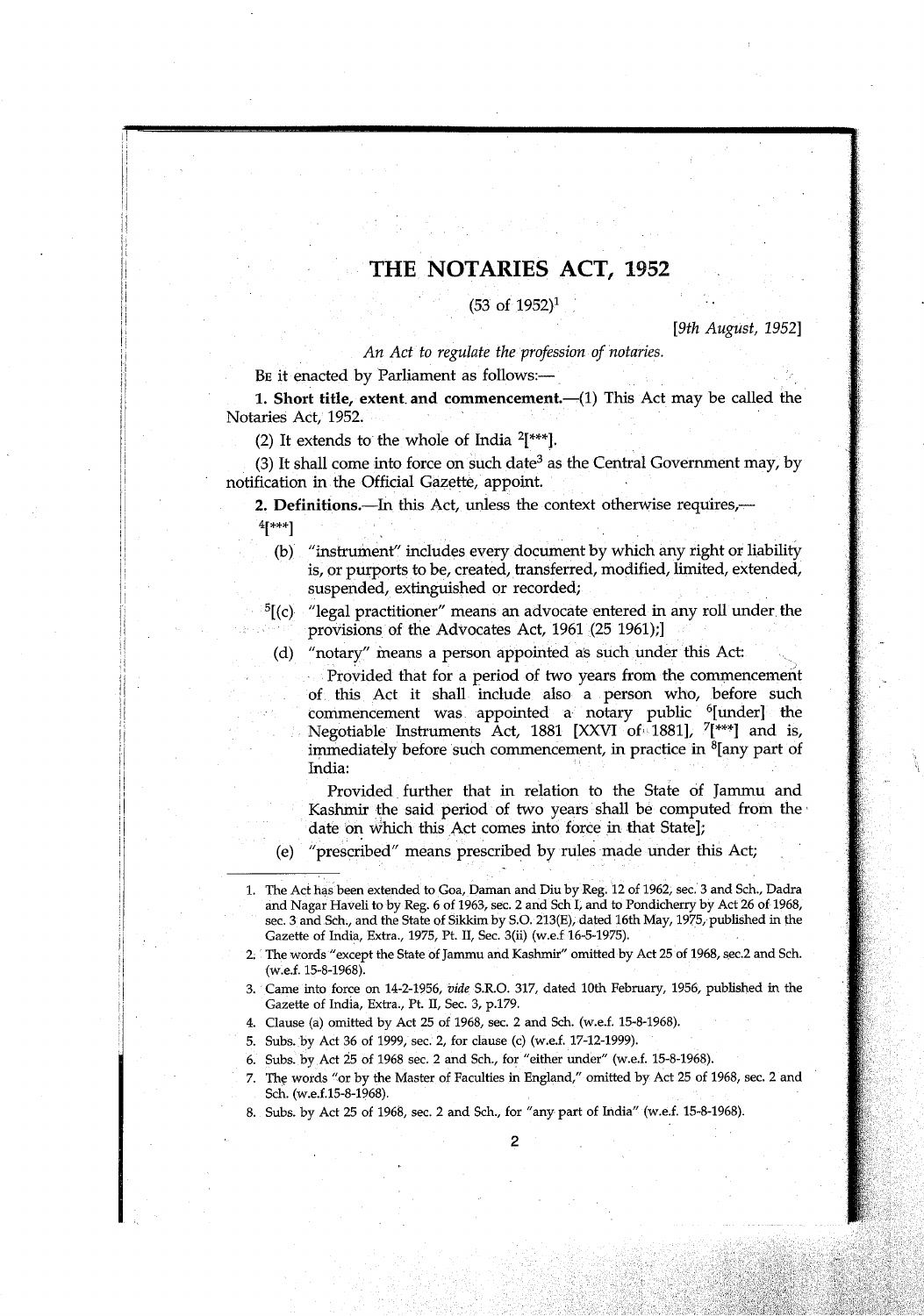# **THE NOTARIES ACT, 1952**

## $(53 \text{ of } 1952)^1$

#### *[9th August, 19521*

*An Act to regulate the profession of notaries.* 

BE it enacted by Parliament as follows:-

**1. Short title, extent, and comrnencement.—(1)** This Act may be called the Notaries Act, 1952.

(2) It extends to the whole of India  $2$ [\*\*\*].

(3) It shall come into force on such date<sup>3</sup> as the Central Government may, by notification in the Official Gazette, appoint

**2. Definitions.—In this Act, unless the context otherwise requires,—** 4[\*\*\*]

(b) "instrument" includes every document by which any right or liability is, or purports to be, created, transferred, modified, limited, extended, suspended, extinguished or recorded;

 $5[(c)$  "legal practitioner" means an advocate entered in any roll under the provisions of the Advocates Act, 1961 (25 1961);]

(d) "notary" means a person appointed as such under this Act:

Provided that for a period of two years from the commencement of this Act it shall include also a person who, before such commencement was appointed a notary public <sup>6</sup>[under] the Negotiable Instruments Act, 1881 [XXVI of 1881], <sup>7</sup>[\*\*\*] and is, immediately before such commencement, in practice in  $\delta$  any part of  $\text{India:}$ 

Provided, further that in relation to the State of Jammu and Kashmir the said period of two years shall be computed from the date on which this Act comes into force in that State],

(e) "prescribed' means prescribed by rules made under this Act,

1. The Act has been extended to Goa, Daman and Diu by Reg. 12 of 1962, sec. 3 and Sch., Dadra and Nagar Haveli to by Reg. 6 of 1963, sec. 2 and Sch I, and to Pondicherry by Act 26 of 1968, sec. 3 and Sch., and the State of Sikkim by S.O. 213(E), dated 16th May, 1975, published in the Gazette of India, Extra., 1975, Pt. II, Sec. 3(ii) (w.e.f 16-5-1975).

- 5. Subs. by Act 36 of 1999; sec. 2, for clause (c) (w.e.f. 17-12-1999).
- 6. Subs. by ,Act 25 of 1968 sec. 2 and Sch., for "either under" (w.e.f. 15-8-1968).
- The words "or by the Master of Faculties in England," omitted by Act 25 of 1968, sec. 2 and Sch. (w.e.f.15-8-1968).

8. Subs. by Act 25 of 1968, sec. 2 and Sch., for "any part of India" (w.e.f. 15-8-1968).

<sup>2.</sup> The words "except the State of Jammu and Kashmir" omitted by Act 25 of 1968, sec.2 and Sch. (w.e.f. 15-8-1968).

<sup>3.</sup> Came into force on 14-2-1956, *vide* S.R.O. 317, dated 10th February, 1956, published in the Gazette of India, Extra., Pt. II, Sec. 3, p.179.

<sup>4.</sup> Clause (a) omitted by Act 25 of 1968, sec. 2 and Sch. (w.e.f. 15-8-1968).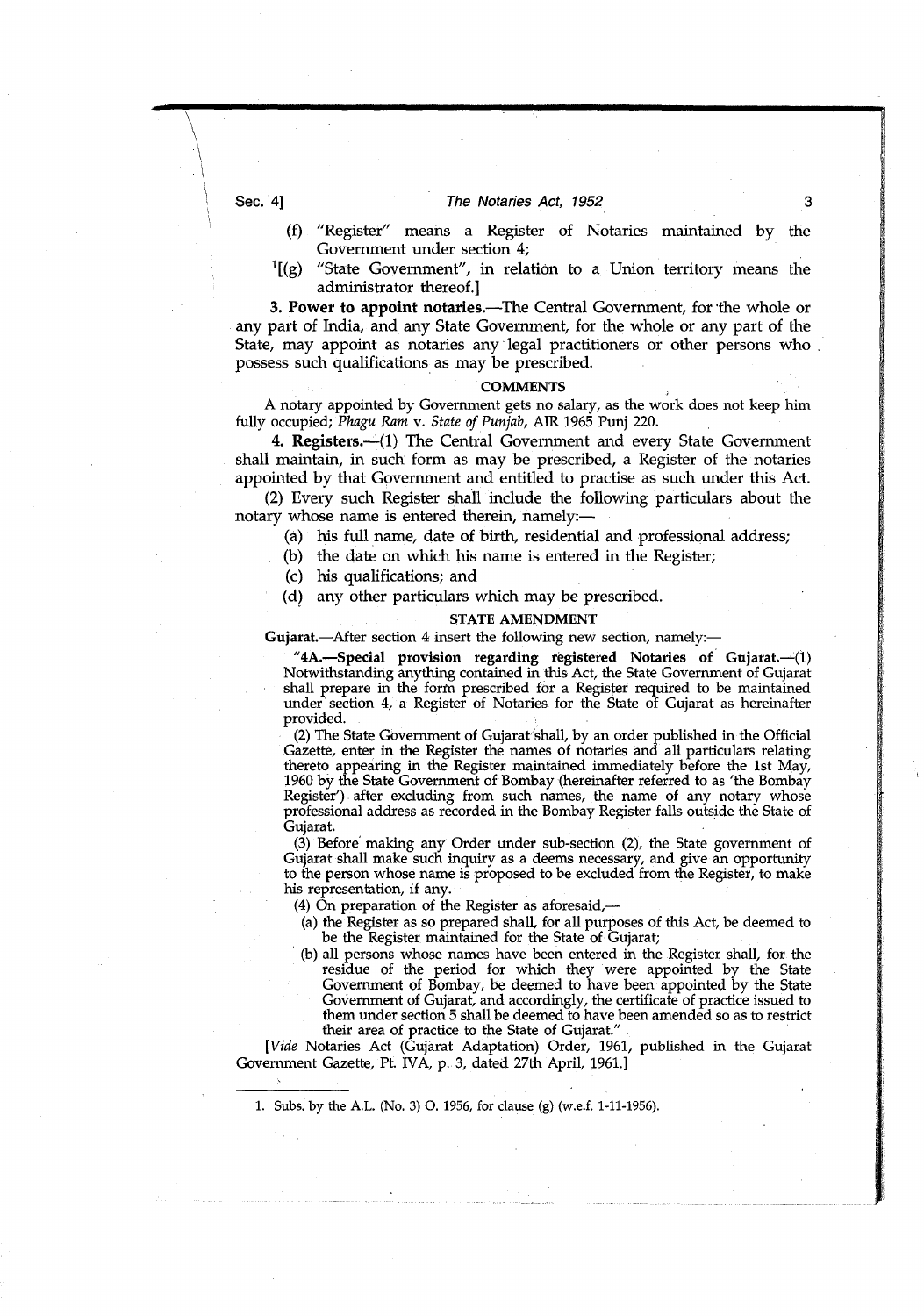#### Sec. 4] The Notaries Act, 1952

- (f) "Register" means a Register of Notaries maintained by the Government under section 4;
- $<sup>1</sup>$ [(g) "State Government", in relation to a Union territory means the</sup> administrator thereof.]

**3. Power to appoint notaries.—The** Central Government, for the whole or any part of India, and any State Government, for the whole or any part of the State, may appoint as notaries any legal practitioners or other persons who possess such qualifications as may be prescribed.

### **COMMENTS**

A notary appointed by Government gets no salary, as the work does not keep him fully occupied; *Phagu Ram v. State of Punjab,* AIR 1965 Punj 220.

**4. Registers.—(1)** The Central Government and every State Government shall maintain, in such form as may be prescribed, a Register of the notaries appointed by that Government and entitled to practise as such under this Act.

(2) Every such Register shall include the following particulars about the notary whose name is entered therein, namely:—

(a) his full name, date of birth, residential and professional address;

- (b) the date on which his name is entered in the Register;
- (c) his qualifications; and
- (d) any other particulars which may be prescribed.

#### **STATE AMENDMENT**

Gujarat.-After section 4 insert the following new section, namely:-

**"4A.—Special provision regarding registered Notaries of Gujarat.—(1)**  Notwithstanding anything contained in this Act, the State Government of Gujarat shall prepare in the form prescribed for a Register required to be maintained under section 4, a Register of Notaries for the State of Gujarat as hereinafter provided.

(2) The State Government of Gujarat'shall, by an order published in the Official Gazette, enter in the Register the names of notaries and all particulars relating thereto appearing in the Register maintained immediately before the 1st May, 1960 by the State Government of Bombay (hereinafter referred to as 'the Bombay Register') after excluding from such names, the name of any notary whose professional address as recorded in the Bombay Register falls outside the State of Gujarat.

(3) Before making any Order under sub-section (2), the State government of Gujarat shall make such inquiry as a deems necessary, and give an opportunity to the person whose name is proposed to be excluded from the Register, to make his representation, if any.

(4) On preparation of the Register as aforesaid,—

- (a) the Register as so prepared shall, for all purposes of this Act, be deemed to be the Register maintained for the State of Gujarat;
- (b) all persons whose names have been entered in the Register shall, for the residue of the period for which they were appointed by the State Government of Bombay, be deemed to have been appointed by the State Government of Gujarat, and accordingly, the certificate of practice issued to them under section 5 shall be deemed to have been amended so as to restric their area of practice to the State of Gujarat."

*[Vide* Notaries Act (Gujarat Adaptation) Order, 1961, published in the Gujarat Government Gazette, Pt. WA, p. 3, dated 27th April, 1961.1

1. Subs, by the A.L. (No. 3) 0. 1956, for clause (g) (w.e.f. 1-11-1956).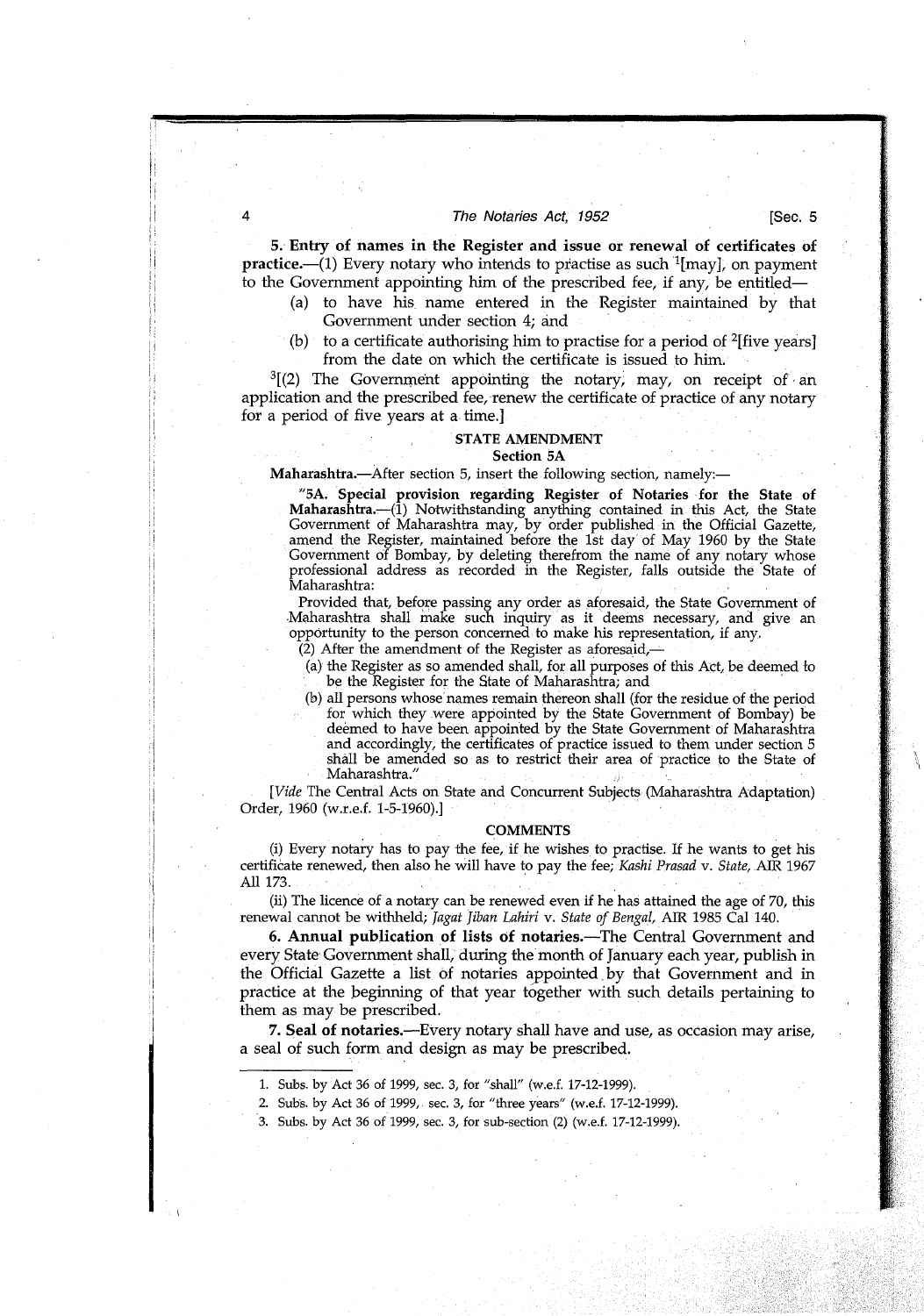#### The Notaries Act, 1952 **[Sec. 5**]

5.' **Entry of names in the Register and issue or renewal of certificates of**  practice.—(1) Every notary who intends to practise as such '[may], on payment to the Government appointing him of the prescribed fee, if any, be entitled—

- (a) to have his name entered in the Register maintained by that Government under section 4; and
- (b) to a certificate authorising him to practise for a period of  $2$ [five years] from the date on which the certificate is issued to him.

 $^{3}$ [(2) The Government appointing the notary, may, on receipt of an application and the prescribed fee, renew the certificate of practice of any notary for a period of five years at a time.

#### **STATE AMENDMENT**  Section 5A

Maharashtra.—After section 5, insert the following section, namely:—

"SA. Special provision regarding Register of Notaries for the State of Maharashtra.—(1) Notwithstanding anything contained in this Act, the State Government of Maharashtra may, by order published in the Official Gazette, amend the Register, maintained before the 1st day' of May 1960 by the State Government of Bombay, by deleting therefrom the name of any notary whose professional address as recorded in the Register, falls outside the State of Maharashtra:

Provided that, before passing any order as aforesaid, the State Government of .Maharashtra shall make such inquiry as it deems necessary, and give an opportunity to the person concerned to make his representation, if any.

- $(2)$  After the amendment of the Register as aforesaid,
- (a) the Register as so amended shall, for all purposes of this Act, be deemed to be the Register for the State of Maharashtra; and
- (b) all persons whose names remain thereon shall (for the residue of the period for which they were appointed by the State Government of Bombay) be deemed to have been appointed by the State Government of Maharashtra and accordingly, the certificates of practice issued to them under section 5 shall be amended so as to restrict their area of practice to the State of Maharashtra."

*[Vide* The Central Acts on State and Concurrent Subjects (Maharashtra Adaptation) Order, 1960 (w.r.e.f. 1-5-1960).]

#### **COMMENTS**

(i) Every notary has to pay the fee, if he wishes to practise. If he wants to get his certificate renewed, then also he will have to pay the fee; *Kashi Prasad v. State,* AIR 1967 All 173.

(ii) The licence of a notary can be renewed even if he has attained the age of 70, this renewal cannot be withheld; *Jagat Jiban Lahiri v. State of Bengzl,* AIR 1985 Cal 140.

**6. Annual publication of lists of** notaries.—The Central Government and every. State' Government shall,' during the month of January each year, publish in the Official Gazette a list of notaries appointed by that Government and in practice at the beginning of that year together with such details pertaining to them as may be prescribed.

**7. Seal of** notaries.—Every notary shall have and use, as occasion may arise, a seal of such form and design as may be prescribed.

- 1. Subs. by Act 36 of 1999, sec. 3, for "shall" (w.e.f. 17-12-1999).
- 2. Subs. by Act 36 of 1999, sec. 3, for "three years" (w.e.f. 17-12-1999).
- 3. Subs. by Act 36 of 1999, sec. 3, for sub-section (2) (w.e.f. 17-12-1999).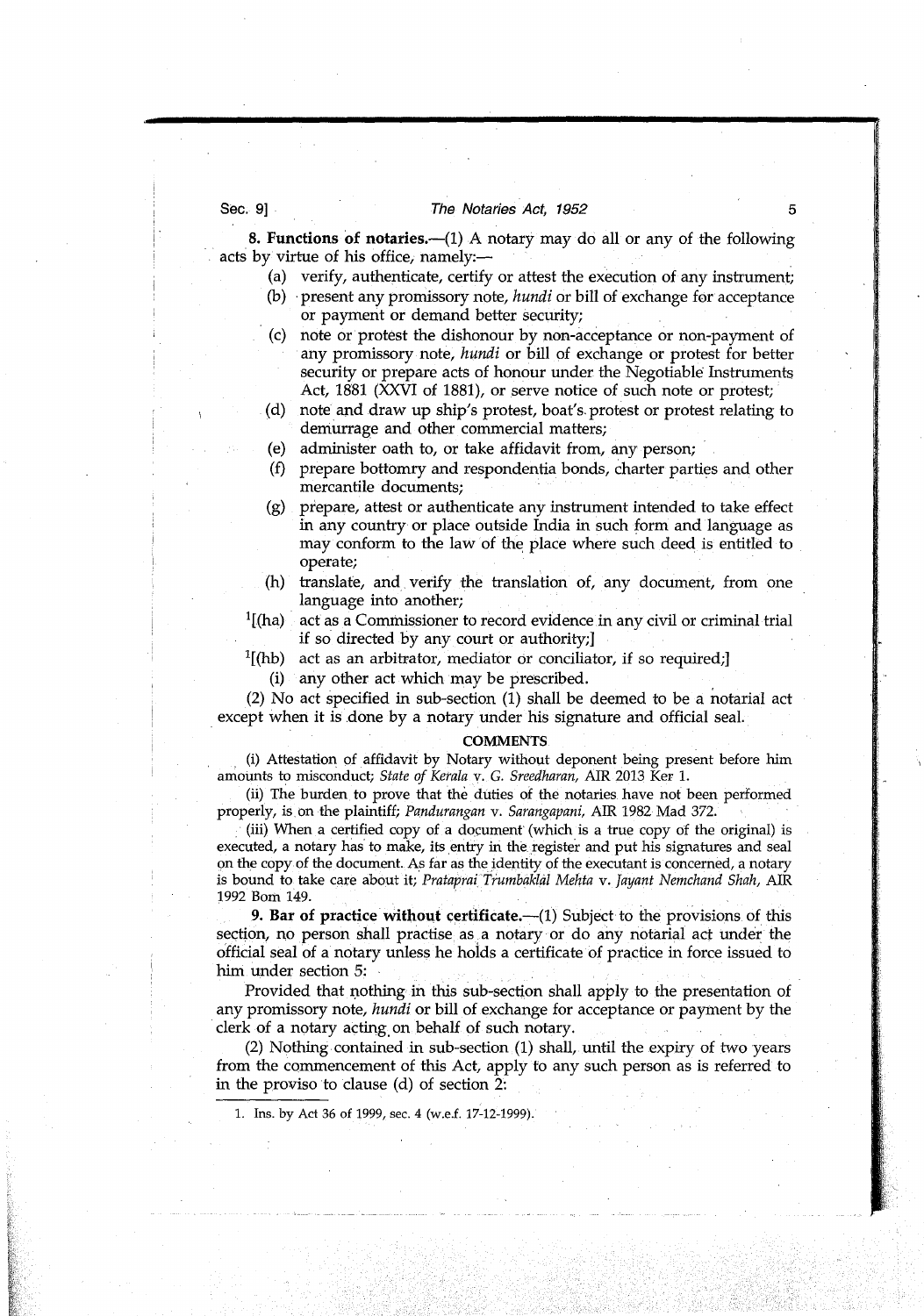#### Sec. 9] The Notaries Act, 1952

**8. Functions of notaries.—(1)** A notary may do all or any of the following acts by virtue of his office, namely:—

- (a) verify, authenticate, certify or attest the execution of any instrument;
- (b) present any promissory note, *hundi* or bill of exchange for acceptance or payment or demand better security;
- (c) note or protest the dishonour by non-acceptance or non-payment of any promissory note, *hundi* or bill of exchange or protest for better security or prepare acts of honour under the Negotiable Instruments Act, 1881 (XXVI of 1881), or serve notice of such note or protest;
- (d) note and draw up ship's protest, boat's. protest or protest relating to demurrage and other commercial matters;
- (e) administer oath to, or take affidavit from, any person;
- (f) prepare bottomry and respondentia bonds, charter parties and other mercantile documents;
- (g) prepare, attest or authenticate any instrument intended to take effect in any country or place outside India in such form and language as may conform to the law of the place where such deed is entitled to operate;
- (h) translate, and verify the translation of, any document, from one language into another;
- $<sup>1</sup>$ [(ha) act as a Commissioner to record evidence in any civil or criminal trial</sup> if so directed by any court or authority;]
- $1$ [(hb) act as an arbitrator, mediator or conciliator, if so required;]
- (i) any other act which may be prescribed.

(2) No act specified in sub-section (1) shall be deemed to be a notarial act except when it is done by a notary under his signature and official seal.

#### **COMMENTS**

(i) Attestation of affidavit by Notary without deponent being present before him amounts to misconduct; *State of Kerala v. G. Sreedharan,* AIR *2013* Ker 1.

(ii) The burden to prove that the duties of the notaries have not been performed properly, is. on the plaintiff; *Pa.ndurangan v. Sarangapani,* AIR *1982* Mad *372.* 

(iii) When a certified copy of a document (which is a true copy of the original) is executed, a notary has to make, its entry in the register and put his signatures and seal on the copy of the document. As far as the identity of the executant is concerned, a notary *is bound to take care about* it; *Prataprai Trumbaklàl Mehta v. Jayant Nemchand Shah, AIR 1992 Born 149.* 

**9. Bar of practice without certificate.** (1) Subject to the provisions of this section, no person shall practise as a notary or do any notarial act under the official seal of a notary unless he holds a certificate of practice in force issued to him under section 5:

Provided that nothing in this sub-section shall apply to the presentation of any promissory note, *hundi* or bill of exchange for acceptance or payment by the clerk of a notary acting on behalf of such notary.

(2) Nothing contained in sub-section (1) shall, until the expiry of two years from the commencement of this Act, apply to any such person as is referred to in the proviso to clause (d) of section 2:

1. Ins, by Act 36 of 1999, sec. 4 (w.e.f. 17-12-1999).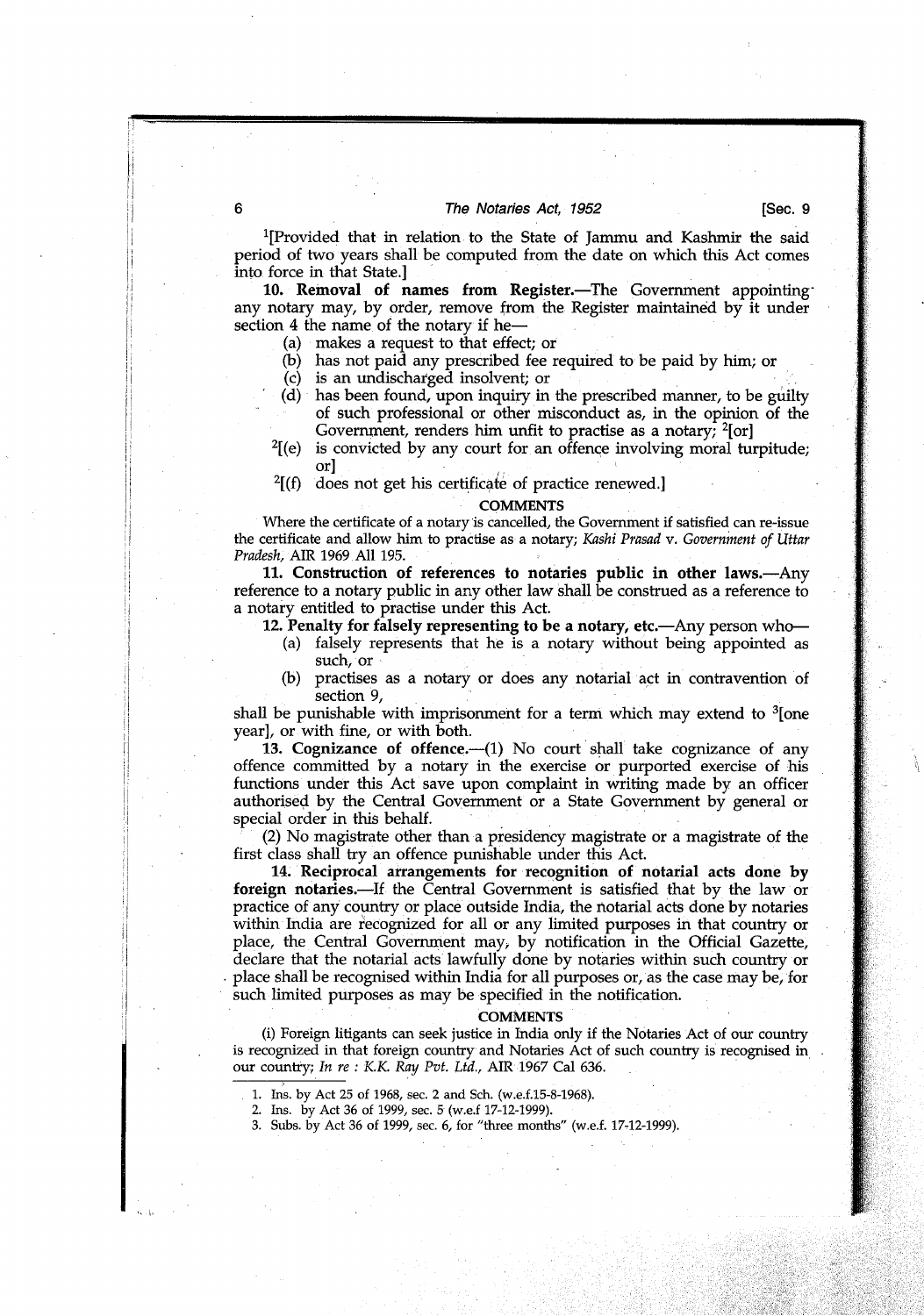#### The Notaries Act, 1952 **[Sec. 9**]

'[Provided that in relation to the State of Jammu and Kashmir the said period of two years shall be computed from the date on which this Act comes into force in that State.]

**10. Removal of names from Register.—The** Government appointing any notary may, by order, remove from the Register maintained by it under section 4 the name of the notary if he-

- (a) makes a request to that effect; or
- (b) has not paid any prescribed fee required to be paid by him; or
- (c) is an undischarged insolvent; or
- (d) has been found, upon inquiry in the prescribed manner, to be guilty of such professional or other misconduct as, in the opinion of the Government, renders him unfit to practise as a notary; <sup>2</sup>[or]
- 2[(e) is convicted by any court for an offence involving moral turpitude; or]
- $2[(f)$  does not get his certificate of practice renewed.]

#### **COMMENTS**

Where the certificate of a notary is cancelled, the Government if satisfied can re-issue the certificate and allow him to practise as a notary; *Kashi Prasad v. Government of Uttar Pradesh,* AIR 1969 All 195.

**11. Construction of references to notaries public in other laws.—Any**  reference to a notary public in any other law shall be construed as a reference to a notary entitled to practise under this Act.

- 12. **Penalty for falsely representing to be a notary,** etc.—Any person who—
	- (a) falsely represents that he is a notary without being appointed as such, or
	- (b) practises as a notary or does any notarial act in contravention of section 9,

shall be punishable with imprisonment for a term which may extend to  $3$  [one year], or with fine, or with both.

**13. Cognizance of offence.—(1)** No court shall take cognizance of any offence committed by a notary in the exercise or purported exercise of his functions under this Act save upon complaint in writing made by an officer authorised by the Central Government or a State Government by general or special order in this behalf.

(2) No magistrate other than a presidency magistrate or a magistrate of the first class shall try an offence punishable under this Act.

**14 Reciprocal arrangements for recognition of notarial acts done by**  foreign notaries.—If the Central Government is satisfied that by the law or practice of any country or place outside India, the notarial acts done by notaries within India are recognized for all or any limited purposes in that country or place, the Central Government may, by notification in the Official Gazette, declare that the notarial acts lawfully done by notaries within such country or place shall be recognised within India for all purposes or, as the case may be, for such limited purposes as may be specified in the notification.

#### **COMMENTS**

(i) Foreign litigants can seek justice in India only if the Notaries Act of our country is recognized in that foreign country and Notaries Act of such country is recognised in our country; *In re : K.K. Ray Pvt. Ltd.,* AIR 1967 Cal 636.

- 1. Ins, by Act 25 of 1968, sec. 2 and Sch. (w.e.f.15-8-1968).
- 2. Ins, by Act 36 of 1999, sec. 5 (w.e.f 17-12-1999).
- 3. Subs. by Act 36 of 1999, sec. 6, for "three months" (w.e.f. 17-12-1999).